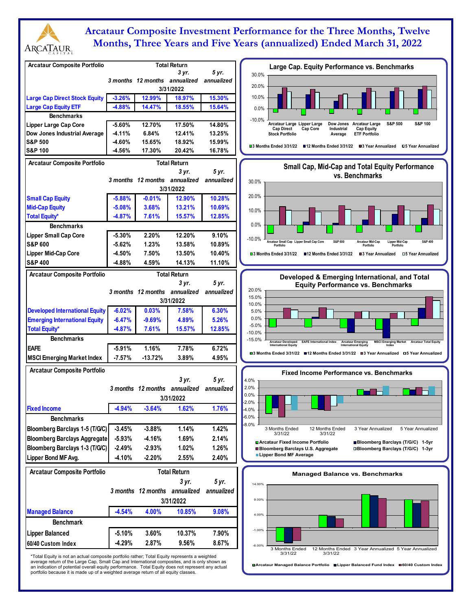

# **Arcataur Composite Investment Performance for the Three Months, Twelve Months, Three Years and Five Years (annualized) Ended March 31, 2022**

| <b>Arcataur Composite Portfolio</b>      |                      |                               | <b>Total Return</b>           |                  | Large Cap. Equity Performance vs. Benchmarks                                                                                                                                                                                      |
|------------------------------------------|----------------------|-------------------------------|-------------------------------|------------------|-----------------------------------------------------------------------------------------------------------------------------------------------------------------------------------------------------------------------------------|
|                                          |                      |                               | 3 yr.                         | 5 yr.            | 30.0%                                                                                                                                                                                                                             |
|                                          |                      | 3 months 12 months annualized |                               | annualized       | 20.0%                                                                                                                                                                                                                             |
|                                          |                      |                               | 3/31/2022                     |                  |                                                                                                                                                                                                                                   |
| <b>Large Cap Direct Stock Equity</b>     | $-3.26%$             | 12.99%                        | 18.97%                        | 15.30%           | 10.0%                                                                                                                                                                                                                             |
| <b>Large Cap Equity ETF</b>              | $-4.88%$             | 14.47%                        | 18.55%                        | 15.64%           | 0.0%                                                                                                                                                                                                                              |
| <b>Benchmarks</b>                        |                      |                               |                               |                  | $-10.0%$<br>S&P 100                                                                                                                                                                                                               |
| <b>Lipper Large Cap Core</b>             | $-5.60%$             | 12.70%                        | 17.50%                        | 14.80%           | Arcataur Large Lipper Large<br>Dow Jones<br><b>Arcataur Large</b><br><b>S&amp;P 500</b><br><b>Cap Direct</b><br>Cap Core<br>Industrial<br><b>Cap Equity</b>                                                                       |
| Dow Jones Industrial Average             | $-4.11%$             | 6.84%                         | 12.41%                        | 13.25%           | <b>Stock Portfolio</b><br><b>ETF Portfolio</b><br>Average                                                                                                                                                                         |
| <b>S&amp;P 500</b><br><b>S&amp;P 100</b> | $-4.60%$<br>$-4.56%$ | 15.65%<br>17.30%              | 18.92%<br>20.42%              | 15.99%<br>16.78% | <b>□3 Months Ended 3/31/22</b><br>■12 Months Ended 3/31/22<br>■3 Year Annualized<br><b>05 Year Annualized</b>                                                                                                                     |
|                                          |                      |                               |                               |                  |                                                                                                                                                                                                                                   |
| <b>Arcataur Composite Portfolio</b>      |                      |                               | <b>Total Return</b>           |                  | Small Cap, Mid-Cap and Total Equity Performance                                                                                                                                                                                   |
|                                          |                      |                               | 3 yr.                         | 5 yr.            | vs. Benchmarks                                                                                                                                                                                                                    |
|                                          |                      | 3 months 12 months annualized |                               | annualized       | 30.0%                                                                                                                                                                                                                             |
|                                          |                      |                               | 3/31/2022                     |                  | 20.0%                                                                                                                                                                                                                             |
| <b>Small Cap Equity</b>                  | $-5.88%$             | $-0.01%$                      | 12.90%                        | 10.28%           |                                                                                                                                                                                                                                   |
| <b>Mid-Cap Equity</b>                    | $-5.08%$             | 3.68%                         | 13.21%                        | 10.69%           | 10.0%                                                                                                                                                                                                                             |
| <b>Total Equity*</b>                     | -4.87%               | 7.61%                         | 15.57%                        | 12.85%           |                                                                                                                                                                                                                                   |
| <b>Benchmarks</b>                        |                      |                               |                               |                  | 0.0%                                                                                                                                                                                                                              |
| <b>Lipper Small Cap Core</b>             | $-5.30%$             | 2.20%                         | 12.20%                        | 9.10%            | $-10.0%$                                                                                                                                                                                                                          |
| <b>S&amp;P 600</b>                       | $-5.62%$             | 1.23%                         | 13.58%                        | 10.89%           | S&P 400<br>S&P 600<br><b>Arcataur Mid-Cap</b><br><b>Lipper Mid-Cap</b><br>Arcataur Small Cap Lipper Small Cap Core<br>Portfolio<br>Portfolio<br>Portfolio                                                                         |
| Lipper Mid-Cap Core                      | $-4.50%$             | 7.50%                         | 13.50%                        | 10.40%           | <b>□3 Months Ended 3/31/22</b><br>■12 Months Ended 3/31/22<br>■3 Year Annualized<br>□5 Year Annualized                                                                                                                            |
| <b>S&amp;P 400</b>                       | -4.88%               | 4.59%                         | 14.13%                        | 11.10%           |                                                                                                                                                                                                                                   |
| <b>Arcataur Composite Portfolio</b>      |                      |                               | <b>Total Return</b>           |                  | Developed & Emerging International, and Total                                                                                                                                                                                     |
|                                          |                      |                               | 3 yr.                         | 5 yr.            | <b>Equity Performance vs. Benchmarks</b>                                                                                                                                                                                          |
|                                          |                      | 3 months 12 months annualized |                               | annualized       | 20.0%                                                                                                                                                                                                                             |
|                                          |                      |                               | 3/31/2022                     |                  | 15.0%                                                                                                                                                                                                                             |
| <b>Developed International Equity</b>    | $-6.02%$             | 0.03%                         | 7.58%                         | 6.30%            | 10.0%<br>5.0%                                                                                                                                                                                                                     |
|                                          |                      |                               |                               |                  |                                                                                                                                                                                                                                   |
|                                          |                      |                               |                               |                  | 0.0%                                                                                                                                                                                                                              |
| <b>Emerging International Equity</b>     | $-6.47%$             | $-9.69%$                      | 4.89%                         | 5.26%            | $-5.0%$                                                                                                                                                                                                                           |
| <b>Total Equity*</b>                     | $-4.87%$             | 7.61%                         | 15.57%                        | 12.85%           | $-10.0%$                                                                                                                                                                                                                          |
| <b>Benchmarks</b>                        |                      |                               |                               |                  | $-15.0%$<br><b>MSCI Emerging Market</b><br><b>Arcataur Developed</b><br><b>EAFE International Index</b><br><b>Arcataur Emerging</b><br><b>Arcataur Total Equity</b><br><b>International Equity</b><br><b>International Equity</b> |
| <b>EAFE</b>                              | $-5.91%$             | 1.16%                         | 7.78%                         | 6.72%            | □3 Months Ended 3/31/22 ■12 Months Ended 3/31/22 ■3 Year Annualized □5 Year Annualized                                                                                                                                            |
| <b>MSCI Emerging Market Index</b>        | $-7.57%$             | $-13.72%$                     | 3.89%                         | 4.95%            |                                                                                                                                                                                                                                   |
| <b>Arcataur Composite Portfolio</b>      |                      |                               |                               |                  | <b>Fixed Income Performance vs. Benchmarks</b>                                                                                                                                                                                    |
|                                          |                      |                               | 3 yr.                         | 5 yr.            | 4.0%                                                                                                                                                                                                                              |
|                                          |                      | 3 months 12 months annualized |                               | annualized       | 2.0%                                                                                                                                                                                                                              |
|                                          |                      |                               | 3/31/2022                     |                  | 0.0%                                                                                                                                                                                                                              |
| <b>Fixed Income</b>                      | $-4.94%$             | $-3.64%$                      | 1.62%                         | 1.76%            | -2.0%<br>$-4.0%$                                                                                                                                                                                                                  |
| <b>Benchmarks</b>                        |                      |                               |                               |                  | $-6.0%$                                                                                                                                                                                                                           |
|                                          |                      |                               |                               |                  | $-8.0%$<br>3 Months Ended<br>12 Months Ended<br>3 Year Annualized<br>5 Year Annualized                                                                                                                                            |
| Bloomberg Barclays 1-5 (T/G/C)           | $-3.45%$             | $-3.88%$                      | 1.14%                         | 1.42%            | 3/31/22<br>3/31/22                                                                                                                                                                                                                |
| <b>Bloomberg Barclays Aggregate</b>      | $-5.93%$             | $-4.16%$                      | 1.69%                         | 2.14%            | □ Arcataur Fixed Income Portfolio<br>Bloomberg Barclays (T/G/C) 1-5yr                                                                                                                                                             |
| Bloomberg Barclays 1-3 (T/G/C)           | $-2.49%$             | $-2.93%$                      | 1.02%                         | 1.26%            | □Bloomberg Barclays (T/G/C) 1-3yr<br>■Bloomberg Barclays U.S. Aggregate<br>Lipper Bond MF Average                                                                                                                                 |
| Lipper Bond MF Avg.                      | -4.10%               | $-2.20%$                      | 2.55%                         | 2.40%            |                                                                                                                                                                                                                                   |
| <b>Arcataur Composite Portfolio</b>      |                      |                               | <b>Total Return</b>           |                  |                                                                                                                                                                                                                                   |
|                                          |                      |                               | 3 yr.                         | 5 yr.            | <b>Managed Balance vs. Benchmarks</b>                                                                                                                                                                                             |
|                                          |                      |                               | 3 months 12 months annualized | annualized       | 14.00%                                                                                                                                                                                                                            |
|                                          |                      |                               |                               |                  | 9.00%                                                                                                                                                                                                                             |
|                                          |                      |                               | 3/31/2022                     |                  |                                                                                                                                                                                                                                   |
| <b>Managed Balance</b>                   | $-4.54%$             | 4.00%                         | 10.85%                        | 9.08%            | 4.00%                                                                                                                                                                                                                             |
| <b>Benchmark</b>                         |                      |                               |                               |                  |                                                                                                                                                                                                                                   |
| <b>Lipper Balanced</b>                   | $-5.10%$             | 3.60%                         | 10.37%                        | 7.90%            | $-1.00%$                                                                                                                                                                                                                          |
| 60/40 Custom Index                       | -4.29%               | 2.87%                         | 9.56%                         | 8.67%            | $-6.00%$<br>12 Months Ended 3 Year Annualized 5 Year Annualized<br>3 Months Ended                                                                                                                                                 |

**Arcataur Managed Balance Portfolio Lipper Balanced Fund Index 60/40 Custom Index**

\*Total Equity is not an actual composite portfolio rather; Total Equity represents a weighted<br>average return of the Large Cap, Small Cap and International composites, and is only shown as<br>an indication of potential overall portfolio because it is made up of a weighted average return of all equity classes.